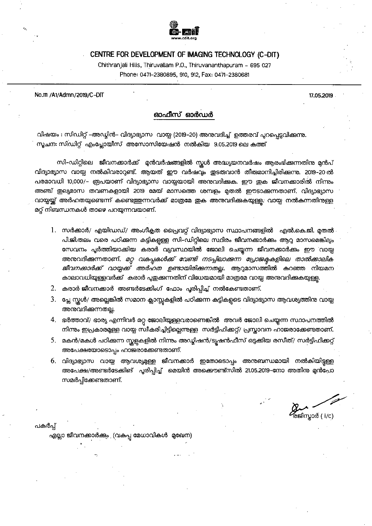

### CENTRE FOR DEVELOPMENT OF IMAGING TECHNOLOGY (C-DIT)

Chithranjali Hills, Thiruvallam P.O., Thiruvananthapuram - 695 027 Phone: 0471-2380895, 910, 912, Fax: 0471-2380681

No.111 /A1/Admn/2019/C-DIT

17.05.2019

## ഓഫീസ് ഓർഡർ

വിഷയം: സിഡിറ്റ് –അഡ്യിൻ– വിദ്യാഭ്യാസ വായ്യ (2019–20) അനുവദിച്ച് ഉത്തരവ് പ്പറപ്പെട്ടവിക്കുന്നു. സൂചന: സിഡിറ്റ് എംപ്ലോയീസ് അസോസിയേഷൻ നൽകിയ 9.05.2019 ലെ കത്ത്

സി–ഡിറ്റിലെ ജീവനക്കാർക്ക് മുൻവർഷങ്ങളിൽ സ്റ്റൾ അദ്ധ്യയനവർഷം ആരംഭിക്കുന്നതിനു മന്റപ് വിദ്യാഭ്യാസ വായ്പ നൽകിവരാറുണ്ട്. ആയത് ഈ വർഷവും ഇടരുവാൻ തീരുമാനിച്ചിരിക്കുന്നു. 2019–20 ൽ പരമാവധി 10,000/– രൂപയാണ് വിദ്യാഭ്യാസ വായ്പയായി അനുവദിക്കുക. ഈ ഇക ജീവനക്കാരിൽ നിന്നും അഞ്ച് ഇല്യമാസ തവണകളായി 2019 മേയ് മാസത്തെ ശമ്പളം മുതൽ ഈടാക്കുന്നതാണ്. വിദ്യാഭ്യാസ വായ്പയ്ക്ക് അർഹതയുണ്ടെന്ന് കണ്ടെത്തുന്നവർക്ക് മാത്രമേ ഇക അനുവദിക്കുകയുള്ള. വായ്പ നൽകന്നതിനുള്ള മറ്റ് നിബന്ധനകൾ താഴെ പറയ്യന്നവയാണ്.

- 1. സർക്കാർ/ എയിഡഡ്/ അംഗീകൃത പ്രൈവറ്റ് വിദ്യാഭ്യാസ സ്ഥാപനങ്ങളിൽ എൽ.കെ.ജി. മുതൽ പി.ജി.തലം വരെ പഠിക്കുന്ന കുട്ടികളുള്ള സി-ഡിറ്റിലെ സ്ഥിരം ജീവനക്കാർക്കം ആറു മാസമെങ്കിലും സേവനം പ്പർത്തിയാക്കിയ കരാർ വ്യവസ്ഥയിൽ ജോലി ചെയ്യന്ന ജീവനക്കാർക്കം ഈ വായ്യ അനുവദിക്കുന്നതാണ്. *മറ്റ വകപ്പകൾക്ക് വേണ്ടി നടപ്പിലാക്കുന്ന പ്രോജകകളിലെ താൽക്കാലിക ജീവനക്കാർക്ക് വായ്യക്ക് അർഹത ഉണ്ടായിരിക്കുന്നതല്ല*. ആറുമാസത്തിൽ കുറഞ്ഞ നിയമന കാലാവധിയുള്ളവർക്ക് കരാർ പ്പഇക്കന്നതിന് വിധേയമായി മാത്രമേ വായ്യ അന്മവദിക്കുകയുള്ള.
- 2. കരാർ ജീവനക്കാർ അണ്ടർടേക്കിംഗ് ഫോം പൂരിപ്പിച്ച് നൽകേണ്ടതാണ്.
- 3. പ്ലേ സ്കൾ/ അല്ലെങ്കിൽ സമാന ക്ലാസ്റ്റകളിൽ പഠിക്കുന്ന കട്ടികളടെ വിദ്യാഭ്യാസ ആവശ്യത്തിനു വായ്പ അന്മവദിക്കന്നതല്ല.
- 4. ഭർത്താവ്/ ഭാര്യ എന്നിവർ മറ്റ ജോലിയുള്ളവരാണെങ്കിൽ അവർ ജോലി ചെയ്യന്ന സ്ഥാപനത്തിൽ നിന്നും ഇപ്രകാരമുള്ള വായ്പ സ്വീകരിച്ചിട്ടില്ലെന്നുള്ള സർട്ടിഫിക്കറ്റ്/ പ്രസ്താവന ഹാജരാക്കേണ്ടതാണ്.
- 5. മകൻ/മകൾ പഠിക്കുന്ന സ്കളകളിൽ നിന്നും അഡ്യിഷൻ/ടൃഷൻഫീസ് ഒടുക്കിയ രസീത്/ സർട്ടിഫിക്കറ്റ് അപേക്ഷയോടൊപ്പം ഹാജരാക്കേണ്ടതാണ്.
- 6. വിദ്യാഭ്യാസ വായ്മ ആവശ്യമുള്ള ജീവനക്കാർ ഇതോടൊപ്പം അനുബന്ധമായി നൽകിയിട്ടള്ള അപേക്ഷ/അണ്ടർടേക്കിങ് പൂരിപ്പിച്ച് മെയിൻ അക്കൌണ്ട്സിൽ 21.05.2019–നോ അതിന മുൻപോ സമർപ്പിക്കേണ്ടതാണ്.

**ୁ**<br>ଡିକ୍ଷାസ്മാർ ( i/c)

പകർപ്പ്

എല്ലാ ജീവനക്കാർക്കും (വകുപ്പ മേധാവികൾ മുഖേന)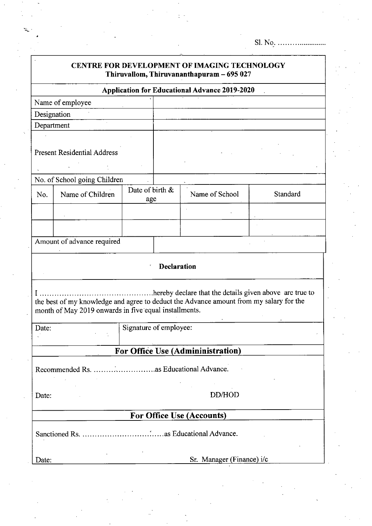| <b>CENTRE FOR DEVELOPMENT OF IMAGING TECHNOLOGY</b><br>Thiruvallom, Thiruvananthapuram - 695 027                                                                                                           |                            |                        |  |                |          |  |  |  |  |
|------------------------------------------------------------------------------------------------------------------------------------------------------------------------------------------------------------|----------------------------|------------------------|--|----------------|----------|--|--|--|--|
| <b>Application for Educational Advance 2019-2020</b>                                                                                                                                                       |                            |                        |  |                |          |  |  |  |  |
|                                                                                                                                                                                                            | Name of employee           |                        |  |                |          |  |  |  |  |
| Designation                                                                                                                                                                                                |                            |                        |  |                |          |  |  |  |  |
| Department                                                                                                                                                                                                 |                            |                        |  |                |          |  |  |  |  |
| <b>Present Residential Address</b>                                                                                                                                                                         |                            |                        |  |                |          |  |  |  |  |
| No. of School going Children                                                                                                                                                                               |                            |                        |  |                |          |  |  |  |  |
| No.                                                                                                                                                                                                        | Name of Children           | Date of birth &<br>age |  | Name of School | Standard |  |  |  |  |
|                                                                                                                                                                                                            |                            |                        |  |                |          |  |  |  |  |
|                                                                                                                                                                                                            |                            |                        |  |                |          |  |  |  |  |
|                                                                                                                                                                                                            | Amount of advance required |                        |  |                |          |  |  |  |  |
| <b>Declaration</b>                                                                                                                                                                                         |                            |                        |  |                |          |  |  |  |  |
| hereby declare that the details given above are true to<br>the best of my knowledge and agree to deduct the Advance amount from my salary for the<br>month of May 2019 onwards in five equal installments. |                            |                        |  |                |          |  |  |  |  |
| Signature of employee:<br>Date:                                                                                                                                                                            |                            |                        |  |                |          |  |  |  |  |
| For Office Use (Admininistration)                                                                                                                                                                          |                            |                        |  |                |          |  |  |  |  |
|                                                                                                                                                                                                            |                            |                        |  |                |          |  |  |  |  |
| Date:                                                                                                                                                                                                      | DD/HOD                     |                        |  |                |          |  |  |  |  |
| <b>For Office Use (Accounts)</b>                                                                                                                                                                           |                            |                        |  |                |          |  |  |  |  |
|                                                                                                                                                                                                            |                            |                        |  |                |          |  |  |  |  |
| Date:                                                                                                                                                                                                      | Sr. Manager (Finance) i/c  |                        |  |                |          |  |  |  |  |
|                                                                                                                                                                                                            |                            |                        |  |                |          |  |  |  |  |